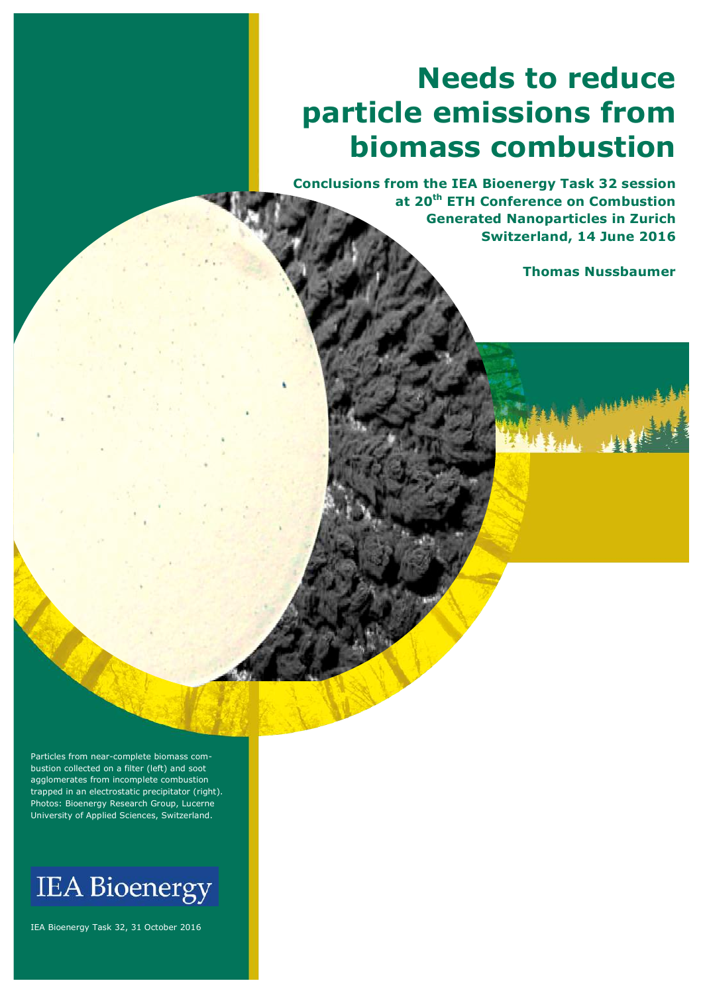# **Needs to reduce particle emissions from biomass combustion**

**Conclusions from the IEA Bioenergy Task 32 session at 20th ETH Conference on Combustion Generated Nanoparticles in Zurich Switzerland, 14 June 2016**

**Thomas Nussbaumer**

Particles from near-complete biomass combustion collected on a filter (left) and soot agglomerates from incomplete combustion trapped in an electrostatic precipitator (right). Photos: Bioenergy Research Group, Lucerne University of Applied Sciences, Switzerland.

# **IEA** Bioenergy

IEA Bioenergy Task 32, 31 October 2016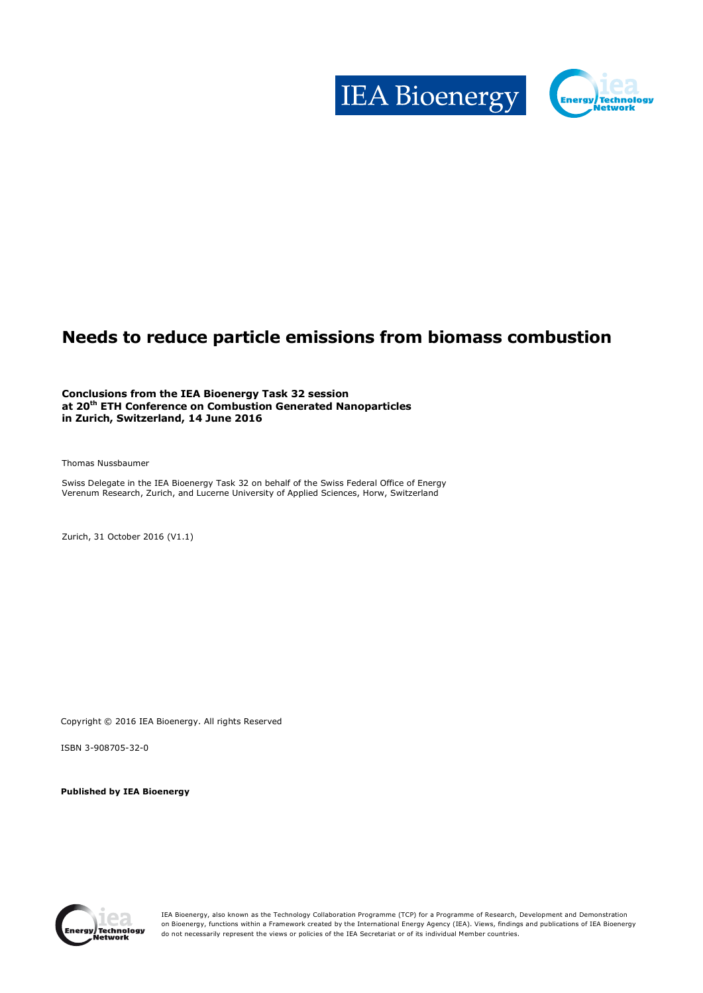



### **Needs to reduce particle emissions from biomass combustion**

**Conclusions from the IEA Bioenergy Task 32 session at 20th ETH Conference on Combustion Generated Nanoparticles in Zurich, Switzerland, 14 June 2016**

Thomas Nussbaumer

Swiss Delegate in the IEA Bioenergy Task 32 on behalf of the Swiss Federal Office of Energy Verenum Research, Zurich, and Lucerne University of Applied Sciences, Horw, Switzerland

Zurich, 31 October 2016 (V1.1)

Copyright © 2016 IEA Bioenergy. All rights Reserved

ISBN 3-908705-32-0

**Published by IEA Bioenergy**



IEA Bioenergy, also known as the Technology Collaboration Programme (TCP) for a Programme of Research, Development and Demonstration on Bioenergy, functions within a Framework created by the International Energy Agency (IEA). Views, findings and publications of IEA Bioenergy do not necessarily represent the views or policies of the IEA Secretariat or of its individual Member countries.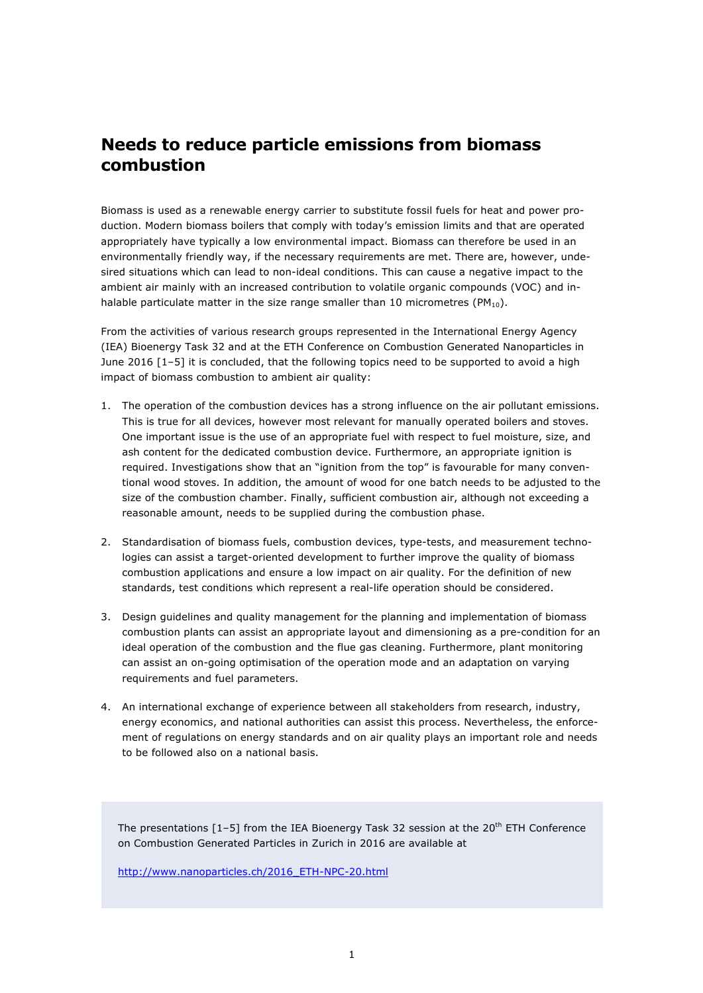### **Needs to reduce particle emissions from biomass combustion**

Biomass is used as a renewable energy carrier to substitute fossil fuels for heat and power production. Modern biomass boilers that comply with today's emission limits and that are operated appropriately have typically a low environmental impact. Biomass can therefore be used in an environmentally friendly way, if the necessary requirements are met. There are, however, undesired situations which can lead to non-ideal conditions. This can cause a negative impact to the ambient air mainly with an increased contribution to volatile organic compounds (VOC) and inhalable particulate matter in the size range smaller than 10 micrometres ( $PM_{10}$ ).

From the activities of various research groups represented in the International Energy Agency (IEA) Bioenergy Task 32 and at the ETH Conference on Combustion Generated Nanoparticles in June 2016 [1–5] it is concluded, that the following topics need to be supported to avoid a high impact of biomass combustion to ambient air quality:

- 1. The operation of the combustion devices has a strong influence on the air pollutant emissions. This is true for all devices, however most relevant for manually operated boilers and stoves. One important issue is the use of an appropriate fuel with respect to fuel moisture, size, and ash content for the dedicated combustion device. Furthermore, an appropriate ignition is required. Investigations show that an "ignition from the top" is favourable for many conventional wood stoves. In addition, the amount of wood for one batch needs to be adjusted to the size of the combustion chamber. Finally, sufficient combustion air, although not exceeding a reasonable amount, needs to be supplied during the combustion phase.
- 2. Standardisation of biomass fuels, combustion devices, type-tests, and measurement technologies can assist a target-oriented development to further improve the quality of biomass combustion applications and ensure a low impact on air quality. For the definition of new standards, test conditions which represent a real-life operation should be considered.
- 3. Design guidelines and quality management for the planning and implementation of biomass combustion plants can assist an appropriate layout and dimensioning as a pre-condition for an ideal operation of the combustion and the flue gas cleaning. Furthermore, plant monitoring can assist an on-going optimisation of the operation mode and an adaptation on varying requirements and fuel parameters.
- 4. An international exchange of experience between all stakeholders from research, industry, energy economics, and national authorities can assist this process. Nevertheless, the enforcement of regulations on energy standards and on air quality plays an important role and needs to be followed also on a national basis.

The presentations  $[1-5]$  from the IEA Bioenergy Task 32 session at the 20<sup>th</sup> ETH Conference on Combustion Generated Particles in Zurich in 2016 are available at

http://www.nanoparticles.ch/2016\_ETH-NPC-20.html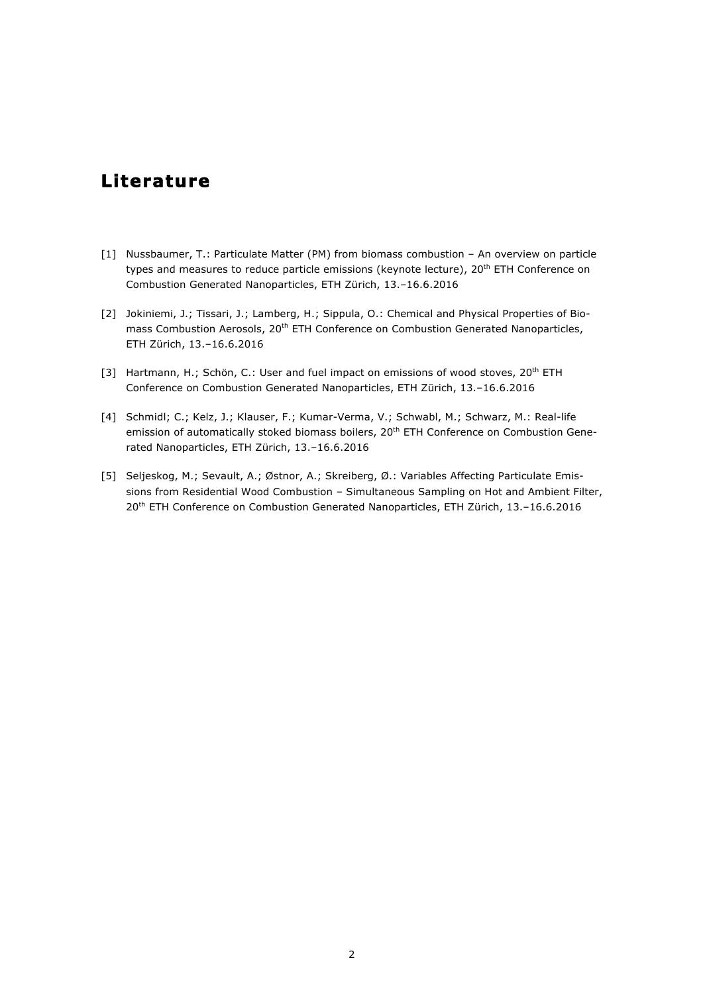#### **Literature**

- [1] Nussbaumer, T.: Particulate Matter (PM) from biomass combustion An overview on particle types and measures to reduce particle emissions (keynote lecture), 20<sup>th</sup> ETH Conference on Combustion Generated Nanoparticles, ETH Zürich, 13.–16.6.2016
- [2] Jokiniemi, J.; Tissari, J.; Lamberg, H.; Sippula, O.: Chemical and Physical Properties of Biomass Combustion Aerosols, 20<sup>th</sup> ETH Conference on Combustion Generated Nanoparticles, ETH Zürich, 13.–16.6.2016
- [3] Hartmann, H.; Schön, C.: User and fuel impact on emissions of wood stoves, 20<sup>th</sup> ETH Conference on Combustion Generated Nanoparticles, ETH Zürich, 13.–16.6.2016
- [4] Schmidl; C.; Kelz, J.; Klauser, F.; Kumar-Verma, V.; Schwabl, M.; Schwarz, M.: Real-life emission of automatically stoked biomass boilers, 20<sup>th</sup> ETH Conference on Combustion Generated Nanoparticles, ETH Zürich, 13.–16.6.2016
- [5] Seljeskog, M.; Sevault, A.; Østnor, A.; Skreiberg, Ø.: Variables Affecting Particulate Emissions from Residential Wood Combustion – Simultaneous Sampling on Hot and Ambient Filter, 20th ETH Conference on Combustion Generated Nanoparticles, ETH Zürich, 13.–16.6.2016